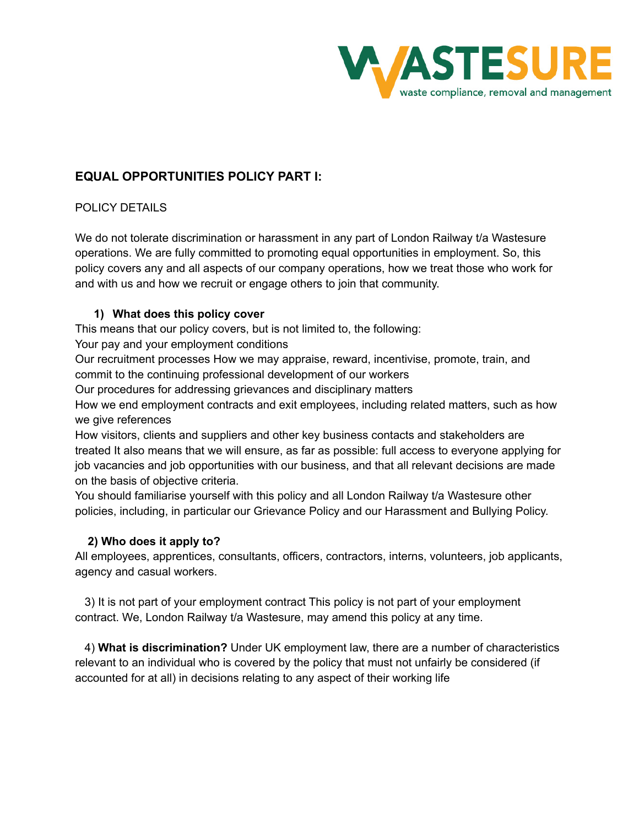

# **EQUAL OPPORTUNITIES POLICY PART I:**

# POLICY DETAILS

We do not tolerate discrimination or harassment in any part of London Railway t/a Wastesure operations. We are fully committed to promoting equal opportunities in employment. So, this policy covers any and all aspects of our company operations, how we treat those who work for and with us and how we recruit or engage others to join that community.

### **1) What does this policy cover**

This means that our policy covers, but is not limited to, the following:

Your pay and your employment conditions

Our recruitment processes How we may appraise, reward, incentivise, promote, train, and commit to the continuing professional development of our workers

Our procedures for addressing grievances and disciplinary matters

How we end employment contracts and exit employees, including related matters, such as how we give references

How visitors, clients and suppliers and other key business contacts and stakeholders are treated It also means that we will ensure, as far as possible: full access to everyone applying for job vacancies and job opportunities with our business, and that all relevant decisions are made on the basis of objective criteria.

You should familiarise yourself with this policy and all London Railway t/a Wastesure other policies, including, in particular our Grievance Policy and our Harassment and Bullying Policy.

### **2) Who does it apply to?**

All employees, apprentices, consultants, officers, contractors, interns, volunteers, job applicants, agency and casual workers.

3) It is not part of your employment contract This policy is not part of your employment contract. We, London Railway t/a Wastesure, may amend this policy at any time.

4) **What is discrimination?** Under UK employment law, there are a number of characteristics relevant to an individual who is covered by the policy that must not unfairly be considered (if accounted for at all) in decisions relating to any aspect of their working life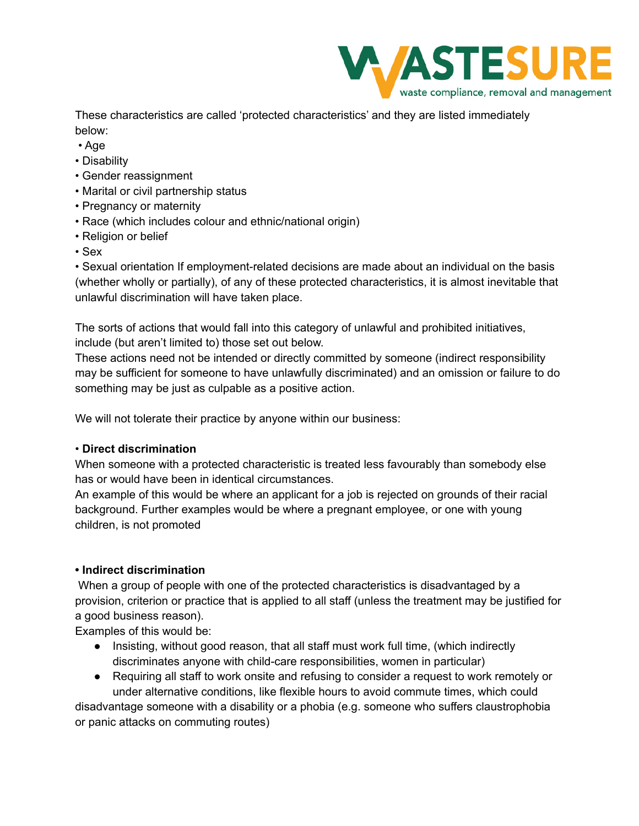

These characteristics are called 'protected characteristics' and they are listed immediately below:

- Age
- Disability
- Gender reassignment
- Marital or civil partnership status
- Pregnancy or maternity
- Race (which includes colour and ethnic/national origin)
- Religion or belief
- Sex

• Sexual orientation If employment-related decisions are made about an individual on the basis (whether wholly or partially), of any of these protected characteristics, it is almost inevitable that unlawful discrimination will have taken place.

The sorts of actions that would fall into this category of unlawful and prohibited initiatives, include (but aren't limited to) those set out below.

These actions need not be intended or directly committed by someone (indirect responsibility may be sufficient for someone to have unlawfully discriminated) and an omission or failure to do something may be just as culpable as a positive action.

We will not tolerate their practice by anyone within our business:

# • **Direct discrimination**

When someone with a protected characteristic is treated less favourably than somebody else has or would have been in identical circumstances.

An example of this would be where an applicant for a job is rejected on grounds of their racial background. Further examples would be where a pregnant employee, or one with young children, is not promoted

# **• Indirect discrimination**

When a group of people with one of the protected characteristics is disadvantaged by a provision, criterion or practice that is applied to all staff (unless the treatment may be justified for a good business reason).

Examples of this would be:

- Insisting, without good reason, that all staff must work full time, (which indirectly discriminates anyone with child-care responsibilities, women in particular)
- Requiring all staff to work onsite and refusing to consider a request to work remotely or under alternative conditions, like flexible hours to avoid commute times, which could

disadvantage someone with a disability or a phobia (e.g. someone who suffers claustrophobia or panic attacks on commuting routes)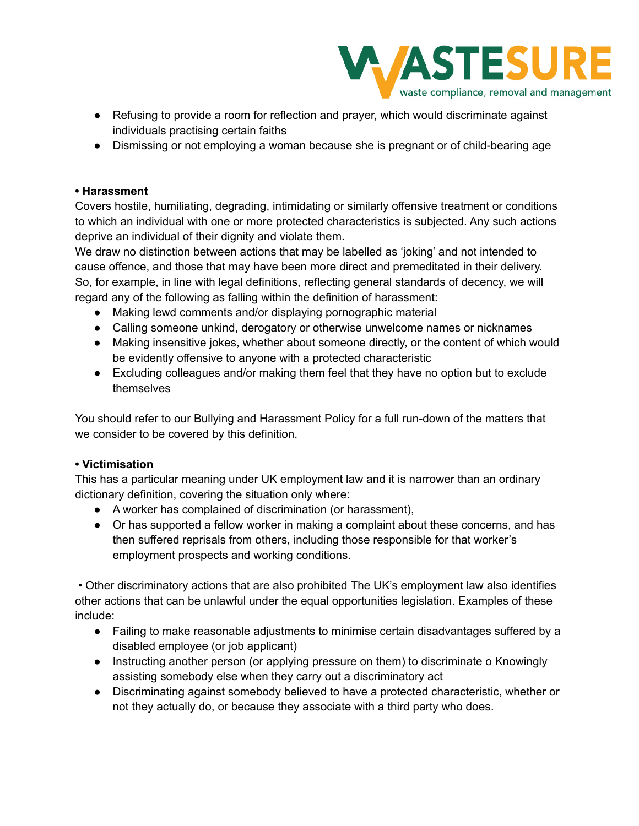

- Refusing to provide a room for reflection and prayer, which would discriminate against individuals practising certain faiths
- Dismissing or not employing a woman because she is pregnant or of child-bearing age

### **• Harassment**

Covers hostile, humiliating, degrading, intimidating or similarly offensive treatment or conditions to which an individual with one or more protected characteristics is subjected. Any such actions deprive an individual of their dignity and violate them.

We draw no distinction between actions that may be labelled as 'joking' and not intended to cause offence, and those that may have been more direct and premeditated in their delivery. So, for example, in line with legal definitions, reflecting general standards of decency, we will regard any of the following as falling within the definition of harassment:

- Making lewd comments and/or displaying pornographic material
- Calling someone unkind, derogatory or otherwise unwelcome names or nicknames
- Making insensitive jokes, whether about someone directly, or the content of which would be evidently offensive to anyone with a protected characteristic
- Excluding colleagues and/or making them feel that they have no option but to exclude themselves

You should refer to our Bullying and Harassment Policy for a full run-down of the matters that we consider to be covered by this definition.

# **• Victimisation**

This has a particular meaning under UK employment law and it is narrower than an ordinary dictionary definition, covering the situation only where:

- A worker has complained of discrimination (or harassment),
- Or has supported a fellow worker in making a complaint about these concerns, and has then suffered reprisals from others, including those responsible for that worker's employment prospects and working conditions.

• Other discriminatory actions that are also prohibited The UK's employment law also identifies other actions that can be unlawful under the equal opportunities legislation. Examples of these include:

- Failing to make reasonable adjustments to minimise certain disadvantages suffered by a disabled employee (or job applicant)
- Instructing another person (or applying pressure on them) to discriminate o Knowingly assisting somebody else when they carry out a discriminatory act
- Discriminating against somebody believed to have a protected characteristic, whether or not they actually do, or because they associate with a third party who does.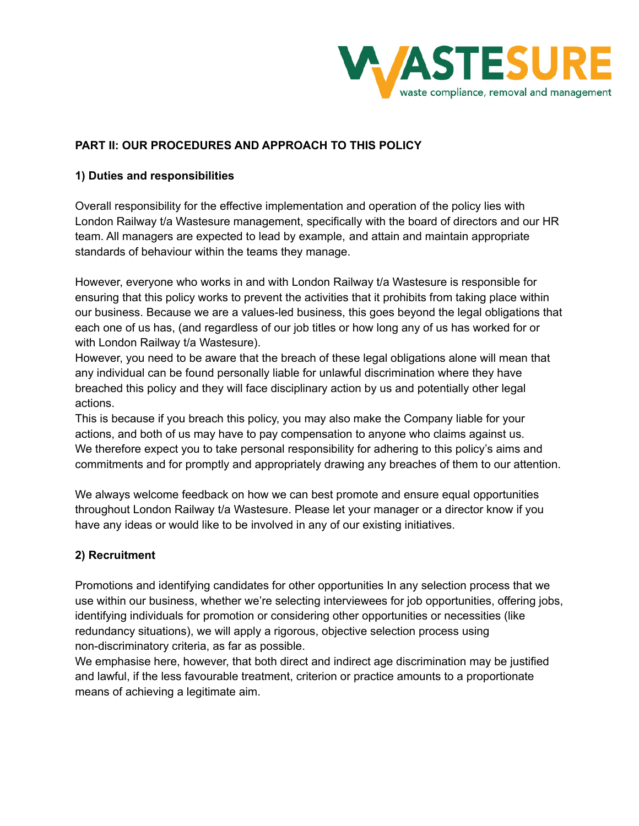

### **PART II: OUR PROCEDURES AND APPROACH TO THIS POLICY**

### **1) Duties and responsibilities**

Overall responsibility for the effective implementation and operation of the policy lies with London Railway t/a Wastesure management, specifically with the board of directors and our HR team. All managers are expected to lead by example, and attain and maintain appropriate standards of behaviour within the teams they manage.

However, everyone who works in and with London Railway t/a Wastesure is responsible for ensuring that this policy works to prevent the activities that it prohibits from taking place within our business. Because we are a values-led business, this goes beyond the legal obligations that each one of us has, (and regardless of our job titles or how long any of us has worked for or with London Railway t/a Wastesure).

However, you need to be aware that the breach of these legal obligations alone will mean that any individual can be found personally liable for unlawful discrimination where they have breached this policy and they will face disciplinary action by us and potentially other legal actions.

This is because if you breach this policy, you may also make the Company liable for your actions, and both of us may have to pay compensation to anyone who claims against us. We therefore expect you to take personal responsibility for adhering to this policy's aims and commitments and for promptly and appropriately drawing any breaches of them to our attention.

We always welcome feedback on how we can best promote and ensure equal opportunities throughout London Railway t/a Wastesure. Please let your manager or a director know if you have any ideas or would like to be involved in any of our existing initiatives.

### **2) Recruitment**

Promotions and identifying candidates for other opportunities In any selection process that we use within our business, whether we're selecting interviewees for job opportunities, offering jobs, identifying individuals for promotion or considering other opportunities or necessities (like redundancy situations), we will apply a rigorous, objective selection process using non-discriminatory criteria, as far as possible.

We emphasise here, however, that both direct and indirect age discrimination may be justified and lawful, if the less favourable treatment, criterion or practice amounts to a proportionate means of achieving a legitimate aim.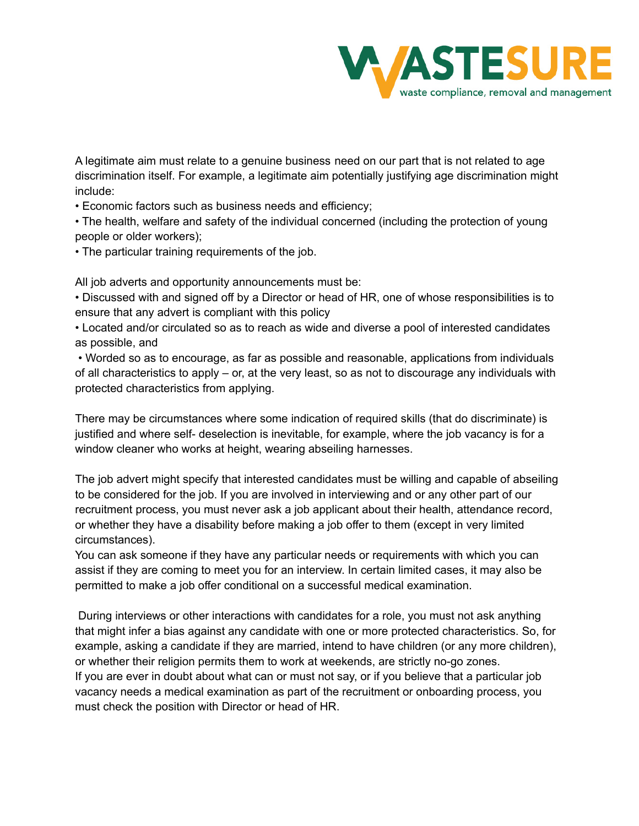

A legitimate aim must relate to a genuine business need on our part that is not related to age discrimination itself. For example, a legitimate aim potentially justifying age discrimination might include:

• Economic factors such as business needs and efficiency;

• The health, welfare and safety of the individual concerned (including the protection of young people or older workers);

• The particular training requirements of the job.

All job adverts and opportunity announcements must be:

• Discussed with and signed off by a Director or head of HR, one of whose responsibilities is to ensure that any advert is compliant with this policy

• Located and/or circulated so as to reach as wide and diverse a pool of interested candidates as possible, and

• Worded so as to encourage, as far as possible and reasonable, applications from individuals of all characteristics to apply – or, at the very least, so as not to discourage any individuals with protected characteristics from applying.

There may be circumstances where some indication of required skills (that do discriminate) is justified and where self- deselection is inevitable, for example, where the job vacancy is for a window cleaner who works at height, wearing abseiling harnesses.

The job advert might specify that interested candidates must be willing and capable of abseiling to be considered for the job. If you are involved in interviewing and or any other part of our recruitment process, you must never ask a job applicant about their health, attendance record, or whether they have a disability before making a job offer to them (except in very limited circumstances).

You can ask someone if they have any particular needs or requirements with which you can assist if they are coming to meet you for an interview. In certain limited cases, it may also be permitted to make a job offer conditional on a successful medical examination.

During interviews or other interactions with candidates for a role, you must not ask anything that might infer a bias against any candidate with one or more protected characteristics. So, for example, asking a candidate if they are married, intend to have children (or any more children), or whether their religion permits them to work at weekends, are strictly no-go zones. If you are ever in doubt about what can or must not say, or if you believe that a particular job vacancy needs a medical examination as part of the recruitment or onboarding process, you must check the position with Director or head of HR.